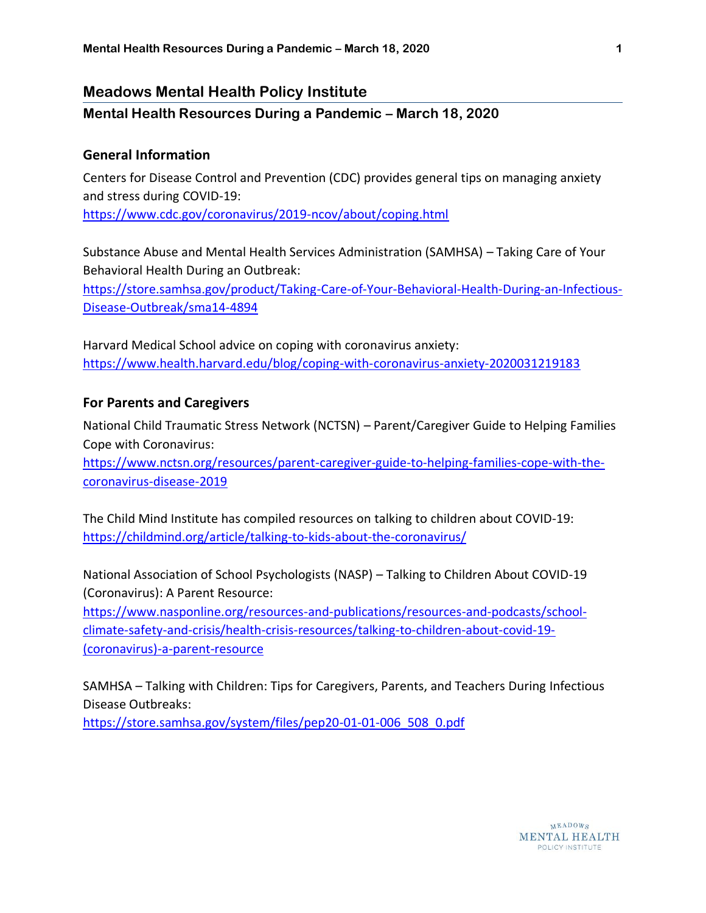# **Meadows Mental Health Policy Institute**

## **Mental Health Resources During a Pandemic – March 18, 2020**

#### **General Information**

Centers for Disease Control and Prevention (CDC) provides general tips on managing anxiety and stress during COVID-19:

<https://www.cdc.gov/coronavirus/2019-ncov/about/coping.html>

Substance Abuse and Mental Health Services Administration (SAMHSA) – Taking Care of Your Behavioral Health During an Outbreak:

[https://store.samhsa.gov/product/Taking-Care-of-Your-Behavioral-Health-During-an-Infectious-](https://store.samhsa.gov/product/Taking-Care-of-Your-Behavioral-Health-During-an-Infectious-Disease-Outbreak/sma14-4894)[Disease-Outbreak/sma14-4894](https://store.samhsa.gov/product/Taking-Care-of-Your-Behavioral-Health-During-an-Infectious-Disease-Outbreak/sma14-4894)

Harvard Medical School advice on coping with coronavirus anxiety: <https://www.health.harvard.edu/blog/coping-with-coronavirus-anxiety-2020031219183>

## **For Parents and Caregivers**

National Child Traumatic Stress Network (NCTSN) – Parent/Caregiver Guide to Helping Families Cope with Coronavirus: [https://www.nctsn.org/resources/parent-caregiver-guide-to-helping-families-cope-with-the](https://www.nctsn.org/resources/parent-caregiver-guide-to-helping-families-cope-with-the-coronavirus-disease-2019)[coronavirus-disease-2019](https://www.nctsn.org/resources/parent-caregiver-guide-to-helping-families-cope-with-the-coronavirus-disease-2019)

The Child Mind Institute has compiled resources on talking to children about COVID-19: <https://childmind.org/article/talking-to-kids-about-the-coronavirus/>

National Association of School Psychologists (NASP) – Talking to Children About COVID-19 (Coronavirus): A Parent Resource:

[https://www.nasponline.org/resources-and-publications/resources-and-podcasts/school](https://www.nasponline.org/resources-and-publications/resources-and-podcasts/school-climate-safety-and-crisis/health-crisis-resources/talking-to-children-about-covid-19-(coronavirus)-a-parent-resource)[climate-safety-and-crisis/health-crisis-resources/talking-to-children-about-covid-19-](https://www.nasponline.org/resources-and-publications/resources-and-podcasts/school-climate-safety-and-crisis/health-crisis-resources/talking-to-children-about-covid-19-(coronavirus)-a-parent-resource) [\(coronavirus\)-a-parent-resource](https://www.nasponline.org/resources-and-publications/resources-and-podcasts/school-climate-safety-and-crisis/health-crisis-resources/talking-to-children-about-covid-19-(coronavirus)-a-parent-resource)

SAMHSA – Talking with Children: Tips for Caregivers, Parents, and Teachers During Infectious Disease Outbreaks:

[https://store.samhsa.gov/system/files/pep20-01-01-006\\_508\\_0.pdf](https://store.samhsa.gov/system/files/pep20-01-01-006_508_0.pdf)